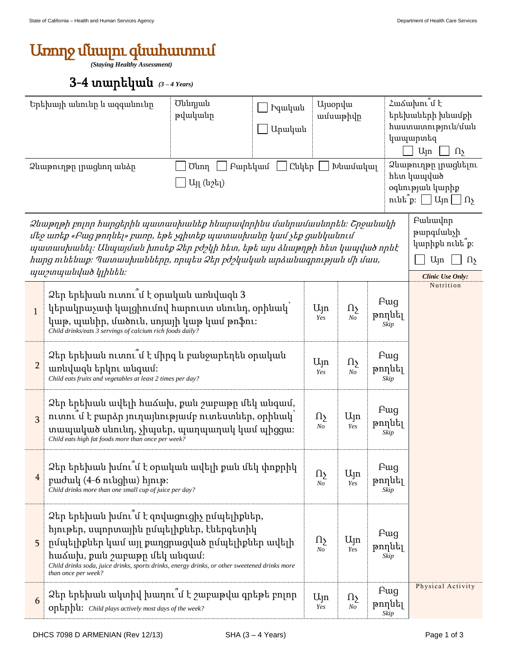## Առողջ մնալու գնահատում

*(Staying Healthy Assessment)*

## 3-4 տարեկան *(3 – 4 Years)*

|                                                                                                                                                                                                                                                                                                                         | Երեխայի անունը և ազգանունը<br>Ձևաթուղթը լրացնող անձը                                                                                                                                                                                                                                             | Ծննդյան<br>թվականը<br>Բարեկամ<br>Ծնող | Իգական<br>Արական<br>$C$ նկեր $\Box$                                                   | <b>U</b> juopyu<br>ամսաթիվը<br>Խնամակալ |                       |                       | Հաձախու՞մ է<br>երեխաների խնամքի<br>հաստատություն/ման<br>կապարտեզ<br>$U_{\parallel}$ n<br>$\Omega$<br>Ձևաթուղթը լրացնելու<br>հետ կապված |  |  |  |
|-------------------------------------------------------------------------------------------------------------------------------------------------------------------------------------------------------------------------------------------------------------------------------------------------------------------------|--------------------------------------------------------------------------------------------------------------------------------------------------------------------------------------------------------------------------------------------------------------------------------------------------|---------------------------------------|---------------------------------------------------------------------------------------|-----------------------------------------|-----------------------|-----------------------|----------------------------------------------------------------------------------------------------------------------------------------|--|--|--|
|                                                                                                                                                                                                                                                                                                                         | Այլ (նշել)<br>օգնության կարիք<br>ntut p: $\Box$ Uyn $\Box$ $\Omega$                                                                                                                                                                                                                              |                                       |                                                                                       |                                         |                       |                       |                                                                                                                                        |  |  |  |
| Ձևաթղթի բոլոր հարցերին պատասխանեք հնարավորինս մանրամասնորեն։ Շրջանակի<br>մեջ առեք «Բաց թողնել» բառը, եթե չգիտեք պատասխանը կամ չեք ցանկանում<br>պատասխանել։ Անպայման խոսեք Ձեր բժշկի հետ, եթե այս ձևաթղթի հետ կապված որևէ<br>հարց ունենաք։ Պատասխանները, որպես Ձեր բժշկական արձանագրության մի մաս,<br>պաշտպանված կլինեն։ |                                                                                                                                                                                                                                                                                                  |                                       |                                                                                       |                                         |                       |                       | Բանավոր<br>թարգմանչի<br>կարիքն ունե՞ք։<br>$U_{\parallel}$ n<br>$\Omega$<br><b>Clinic Use Only:</b>                                     |  |  |  |
| $\mathbf{1}$                                                                                                                                                                                                                                                                                                            | Ձեր երեխան ուտու՞մ է օրական առնվազն 3<br>կերակրաչափ կալցիումով հարուստ սնունդ, օրինակ՝<br>կաթ, պանիր, մածուն, սոյայի կաթ կամ թոֆու։<br>Child drinks/eats 3 servings of calcium rich foods daily?                                                                                                 |                                       |                                                                                       | $U_{\parallel}$ n<br>Yes                | Ωş<br>N <sub>O</sub>  | Fwg<br>թողնել<br>Skip | Nutrition                                                                                                                              |  |  |  |
| 2                                                                                                                                                                                                                                                                                                                       | Ձեր երեխան ուտու՞մ է միրգ և բանջարեղեն օրական<br>առնվազն երկու անգամ։<br>Child eats fruits and vegetables at least 2 times per day?                                                                                                                                                              |                                       | $U_{\parallel}$ n<br>Yes                                                              | Ωչ<br>No                                | Fwg<br>թողնել<br>Skip |                       |                                                                                                                                        |  |  |  |
| 3                                                                                                                                                                                                                                                                                                                       | Ձեր երեխան ավելի հաձախ, քան շաբաթը մեկ անգամ,<br>nւտու՞մ է բարձր յուղայնությամբ ուտեստներ, օրինակ՝<br>տապակած սնունդ, չիպսեր, պաղպաղակ կամ պիցցա։<br>Child eats high fat foods more than once per week?                                                                                          |                                       | Ωչ<br>$N_{O}$                                                                         | Uyn<br>Yes                              | Fwg<br>թողնել<br>Skip |                       |                                                                                                                                        |  |  |  |
| 4                                                                                                                                                                                                                                                                                                                       | Ձեր երեխան խմու մ է օրական ավելի քան մեկ փոքրիկ<br>Fwg<br>Ujn<br>Ωş<br>pudul (4-6 nlughu) hinip:<br>թողնել<br>Yes<br>No<br>Child drinks more than one small cup of juice per day?<br>Skip                                                                                                        |                                       |                                                                                       |                                         |                       |                       |                                                                                                                                        |  |  |  |
| 5                                                                                                                                                                                                                                                                                                                       | Ձեր երեխան խմու՞մ է զովացուցիչ ըմպելիքներ,<br>հյութեր, սպորտային ըմպելիքներ, էներգետիկ<br>ըմպելիքներ կամ այլ քաղցրացված ըմպելիքներ ավելի<br>հաձախ, քան շաբաթը մեկ անգամ։<br>Child drinks soda, juice drinks, sports drinks, energy drinks, or other sweetened drinks more<br>than once per week? |                                       |                                                                                       | $\Omega$<br>N <sub>O</sub>              | Ujn<br>Yes            | Fwg<br>թողնել<br>Skip |                                                                                                                                        |  |  |  |
| 6                                                                                                                                                                                                                                                                                                                       | Ձեր երեխան ակտիվ խաղու՞մ է շաբաթվա գրեթե բոլոր<br>optphu: Child plays actively most days of the week?                                                                                                                                                                                            |                                       | Physical Activity<br>Fwg<br>$U_{\parallel}$ n<br>Ωş<br>թողնել<br>Yes<br>$N$ o<br>Skip |                                         |                       |                       |                                                                                                                                        |  |  |  |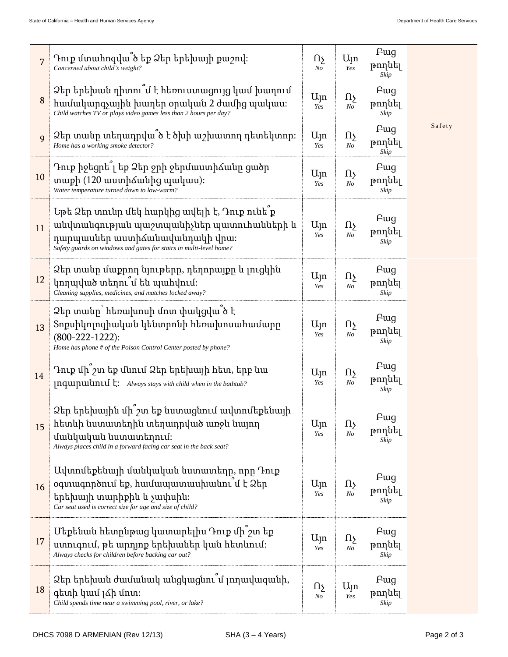| $\overline{7}$ | Դուք մտահոգվա՞ծ եք Ձեր երեխայի քաշով։<br>Concerned about child's weight?                                                                                                                           | Ωչ<br>No                 | Ujn<br>Yes                    | Pug<br>թողնել<br>Skip         |        |
|----------------|----------------------------------------------------------------------------------------------------------------------------------------------------------------------------------------------------|--------------------------|-------------------------------|-------------------------------|--------|
| 8              | Ձեր երեխան դիտու՞մ է հեռուստացույց կամ խաղում<br>համակարգչային խաղեր օրական 2 ժամից պակաս։<br>Child watches TV or plays video games less than 2 hours per day?                                     | Ալո<br>Yes               | ηş<br>N <sub>O</sub>          | <b>F</b> ug<br>թողնել<br>Skip |        |
| 9              | Ձեր տանը տեղադրվա՞ծ է ծխի աշխատող դետեկտոր։<br>Home has a working smoke detector?                                                                                                                  | Ujn<br>Yes               | Ωş<br>N <sub>O</sub>          | Fwg<br>թողնել<br>Skip         | Safety |
| 10             | Դուք իջեցրե՞լ եք Ձեր ջրի ջերմաստիձանը ցածր<br>տաքի (120 աստիձանից պակաս):<br>Water temperature turned down to low-warm?                                                                            | Ալո<br>Yes               | Ωş<br>N <sub>O</sub>          | <b>F</b> ug<br>թողնել<br>Skip |        |
| 11             | Եթե Ձեր տունը մեկ հարկից ավելի է, Դուք ունե՞ք<br>անվտանգության պաշտպանիչներ պատուհանների և<br>դարպասներ աստիձանավանդակի վրա։<br>Safety guards on windows and gates for stairs in multi-level home? | $U_{\parallel}$ n<br>Yes | Ωş<br>$\it No$                | Fwg<br>թողնել<br>Skip         |        |
| 12             | Ձեր տանը մաքրող նյութերը, դեղորայքը և լուցկին<br>կողպված տեղու մ են պահվում։<br>Cleaning supplies, medicines, and matches locked away?                                                             | Ալո<br>Yes               | ηş<br>$N_{O}$                 | Fwg<br>թողնել<br>Skip         |        |
| 13             | Ձեր տանը` հեռախոսի մոտ փակցվա՞ծ է<br>Տոքսիկոլոգիական կենտրոնի հեռախոսահամարը<br>$(800-222-1222)$ :<br>Home has phone # of the Poison Control Center posted by phone?                               | Ալո<br>Yes               | $\Omega_{\Sigma}$<br>$\it No$ | Fwg<br>թողնել<br>Skip         |        |
| 14             | Դուք մի՞շտ եք մնում Ձեր երեխայի հետ, երբ նա<br><b>Inquipulinul L:</b> Always stays with child when in the bathtub?                                                                                 | Ալո<br>Yes               | Ωş<br>N <sub>O</sub>          | Fwg<br>թողնել<br>Skip         |        |
| 15             | Ձեր երեխային մի՞շտ եք նստացնում ավտոմեքենայի<br>հետևի նստատեղին տեղադրված առջև նայող<br>մանկական նստատեղում։<br>Always places child in a forward facing car seat in the back seat?                 | $U_{\parallel}$ n<br>Yes | Ωş<br>N <sub>O</sub>          | Fwg<br>թողնել<br>Skip         |        |
| 16             | Ավտոմեքենայի մանկական նստատեղը, որը Դուք<br>օգտագործում եք, համապատասխանու՞մ է Ձեր<br>երեխայի տարիքին և չափսին։<br>Car seat used is correct size for age and size of child?                        | $U_{\parallel}$ n<br>Yes | Ωչ<br>N <sub>O</sub>          | Fwg<br>թողնել<br>Skip         |        |
| 17             | Մեքենան հետրնթաց կատարելիս Դուք մի շտ եք<br>ստուգում, թե արդյոք երեխաներ կան հետևում։<br>Always checks for children before backing car out?                                                        | Ալո<br>Yes               | Ωş<br>N <sub>O</sub>          | Fwg<br>թողնել<br>Skip         |        |
| 18             | Ձեր երեխան ժամանակ անցկացնու՞մ լողավազանի,<br>գետի կամ լձի մոտ։<br>Child spends time near a swimming pool, river, or lake?                                                                         | Ωу<br>No                 | $U_{\parallel}$ n<br>Yes      | Fwg<br>թողնել<br>Skip         |        |